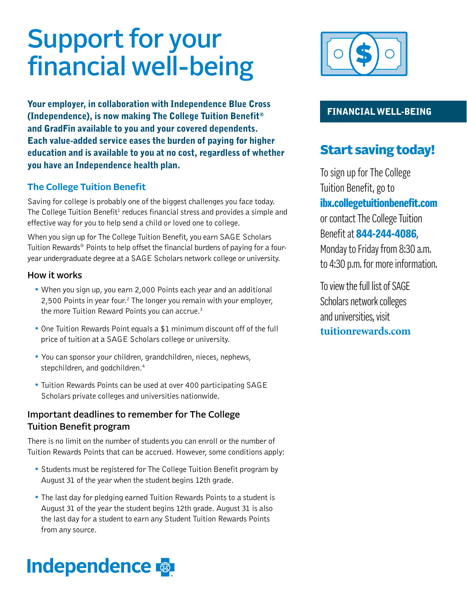# Support for your financial well-being

Your employer, in collaboration with Independence Blue Cross (Independence), is now making The College Tuition Benefit® and GradFin available to you and your covered dependents. Each value-added service eases the burden of paying for higher education and is available to you at no cost, regardless of whether you have an Independence health plan.

#### **The College Tuition Benefit**

Saving for college is probably one of the biggest challenges you face today. The College Tuition Benefit<sup>1</sup> reduces financial stress and provides a simple and effective way for you to help send a child or loved one to college.

When you sign up for The College Tuition Benefit, you earn SAGE Scholars Tuition Rewards® Points to help offset the financial burdens of paying for a fouryear undergraduate degree at a SAGE Scholars network college or university.

#### How it works

- When you sign up, you earn 2,000 Points each year and an additional 2,500 Points in year four.<sup>2</sup> The longer you remain with your employer, the more Tuition Reward Points you can accrue.<sup>3</sup>
- One Tuition Rewards Point equals a \$1 minimum discount off of the full price of tuition at a SAGE Scholars college or university.
- You can sponsor your children, grandchildren, nieces, nephews, stepchildren, and godchildren.<sup>4</sup>
- Tuition Rewards Points can be used at over 400 participating SAGE Scholars private colleges and universities nationwide.

#### Important deadlines to remember for The College Tuition Benefit program

There is no limit on the number of students you can enroll or the number of Tuition Rewards Points that can be accrued. However, some conditions apply:

- Students must be registered for The College Tuition Benefit program by August 31 of the year when the student begins 12th grade.
- The last day for pledging earned Tuition Rewards Points to a student is August 31 of the year the student begins 12th grade. August 31 is also the last day for a student to earn any Student Tuition Rewards Points from any source.

# **Independence**



#### FINANCIAL WELL-BEING

## Start saving today!

To sign up for The College Tuition Benefit, go to ibx.collegetuitionbenefit.com or contact The College Tuition Benefit at **844-244-4086**,

Monday to Friday from 8:30 a.m. to 4:30 p.m. for more information.

To view the full listofSAGE Scholars network colleges and universities, visit **[tuitionrewards.com](https://www.tuitionrewards.com/?p=home/college/list)**